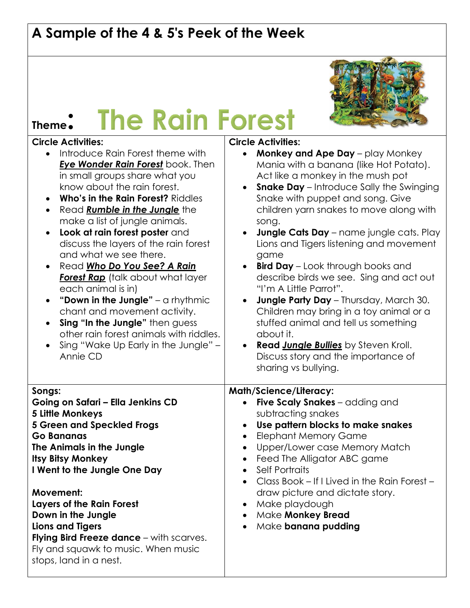## **A Sample of the 4 & 5's Peek of the Week**





- Introduce Rain Forest theme with *Eye Wonder Rain Forest* book. Then in small groups share what you know about the rain forest.
- **Who's in the Rain Forest?** Riddles
- **•** Read **Rumble in the Jungle** the make a list of jungle animals.
- **Look at rain forest poster** and discuss the layers of the rain forest and what we see there.
- Read *Who Do You See? A Rain* **Forest Rap** (talk about what layer each animal is in)
- **"Down in the Jungle"** a rhythmic chant and movement activity.
- **Sing "In the Jungle"** then guess other rain forest animals with riddles.
- Sing "Wake Up Early in the Jungle" Annie CD

## **Songs:**

**Going on Safari – Ella Jenkins CD 5 Little Monkeys 5 Green and Speckled Frogs Go Bananas The Animals in the Jungle Itsy Bitsy Monkey I Went to the Jungle One Day**

## **Movement:**

**Layers of the Rain Forest Down in the Jungle Lions and Tigers Flying Bird Freeze dance** – with scarves. Fly and squawk to music. When music stops, land in a nest.

## **Circle Activities:**

 **Monkey and Ape Day** – play Monkey Mania with a banana (like Hot Potato). Act like a monkey in the mush pot **Snake Day** – Introduce Sally the Swinging Snake with puppet and song. Give children yarn snakes to move along with song. **Jungle Cats Day** – name jungle cats. Play Lions and Tigers listening and movement game **Bird Day** – Look through books and describe birds we see. Sing and act out "I'm A Little Parrot". **Jungle Party Day** – Thursday, March 30. Children may bring in a toy animal or a stuffed animal and tell us something about it. **Read** *Jungle Bullies* by Steven Kroll. Discuss story and the importance of sharing vs bullying. **Math/Science/Literacy: Five Scaly Snakes** – adding and subtracting snakes **Use pattern blocks to make snakes** • Elephant Memory Game • Upper/Lower case Memory Match • Feed The Alligator ABC game • Self Portraits Class Book – If I Lived in the Rain Forest – draw picture and dictate story. • Make playdough Make **Monkey Bread** Make **banana pudding**